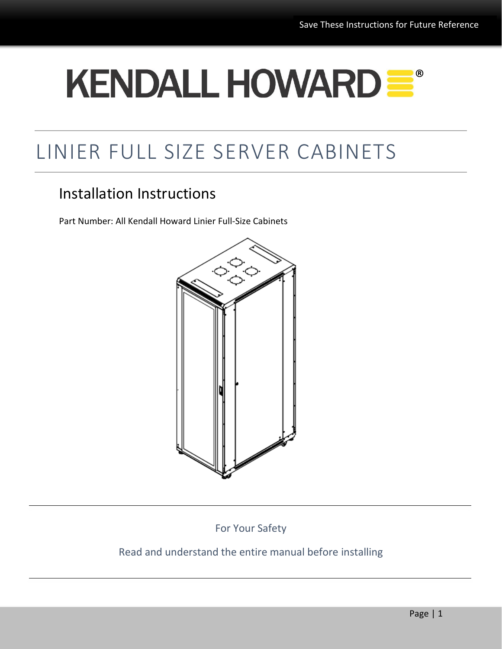# **KENDALL HOWARDE®**

## LINIER FULL SIZE SERVER CABINETS

## Installation Instructions

Part Number: All Kendall Howard Linier Full-Size Cabinets



For Your Safety

### Read and understand the entire manual before installing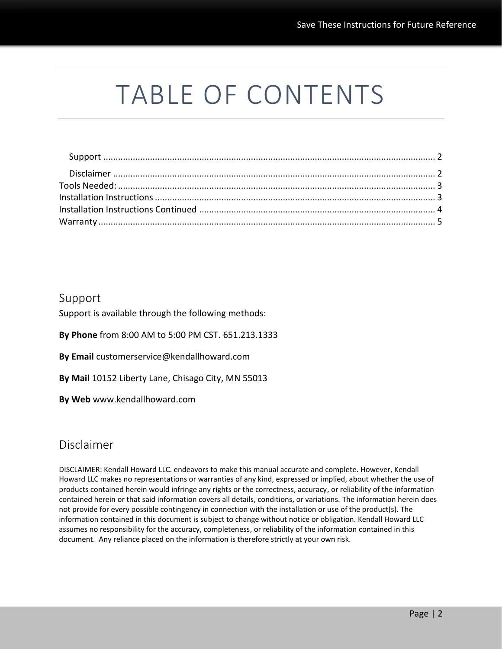## TABLE OF CONTENTS

#### <span id="page-1-0"></span>Support

Support is available through the following methods:

**By Phone** from 8:00 AM to 5:00 PM CST. 651.213.1333

**By Email** customerservice@kendallhoward.com

**By Mail** 10152 Liberty Lane, Chisago City, MN 55013

**By Web** www.kendallhoward.com

#### <span id="page-1-1"></span>Disclaimer

DISCLAIMER: Kendall Howard LLC. endeavors to make this manual accurate and complete. However, Kendall Howard LLC makes no representations or warranties of any kind, expressed or implied, about whether the use of products contained herein would infringe any rights or the correctness, accuracy, or reliability of the information contained herein or that said information covers all details, conditions, or variations. The information herein does not provide for every possible contingency in connection with the installation or use of the product(s). The information contained in this document is subject to change without notice or obligation. Kendall Howard LLC assumes no responsibility for the accuracy, completeness, or reliability of the information contained in this document. Any reliance placed on the information is therefore strictly at your own risk.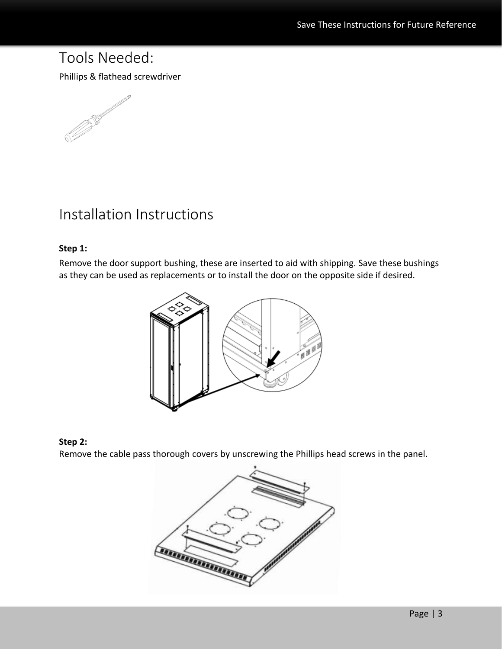## <span id="page-2-0"></span>Tools Needed:

Phillips & flathead screwdriver



## <span id="page-2-1"></span>Installation Instructions

#### **Step 1:**

Remove the door support bushing, these are inserted to aid with shipping. Save these bushings as they can be used as replacements or to install the door on the opposite side if desired.



#### **Step 2:**

Remove the cable pass thorough covers by unscrewing the Phillips head screws in the panel.

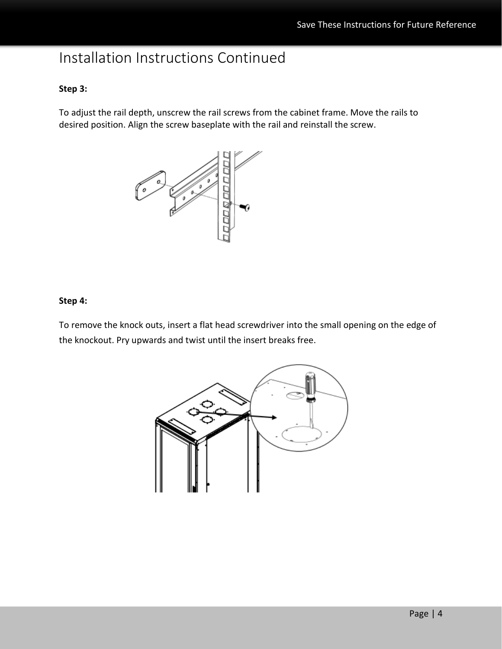## <span id="page-3-0"></span>Installation Instructions Continued

#### **Step 3:**

To adjust the rail depth, unscrew the rail screws from the cabinet frame. Move the rails to desired position. Align the screw baseplate with the rail and reinstall the screw.



#### **Step 4:**

To remove the knock outs, insert a flat head screwdriver into the small opening on the edge of the knockout. Pry upwards and twist until the insert breaks free.